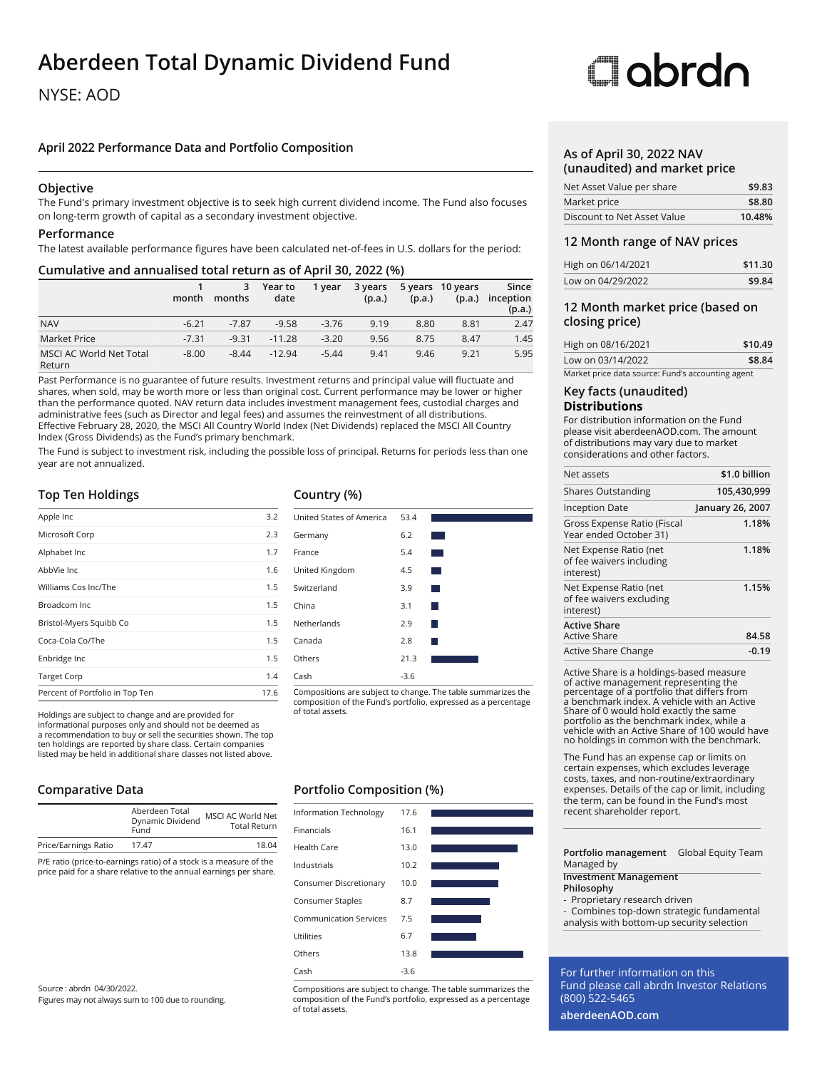# **Aberdeen Total Dynamic Dividend Fund**

### NYSE: AOD

### **April 2022 Performance Data and Portfolio Composition**

### **Objective**

The Fund's primary investment objective is to seek high current dividend income. The Fund also focuses on long-term growth of capital as a secondary investment objective.

### **Performance**

The latest available performance figures have been calculated net-of-fees in U.S. dollars for the period:

### **Cumulative and annualised total return as of April 30, 2022 (%)**

|                                          | month   | 3<br>months | Year to<br>date | 1 year  | 3 years<br>(p.a.) | (p.a.) | 5 years 10 years<br>(p.a.) | Since<br>inception<br>(p.a.) |
|------------------------------------------|---------|-------------|-----------------|---------|-------------------|--------|----------------------------|------------------------------|
| <b>NAV</b>                               | $-6.21$ | $-7.87$     | $-9.58$         | $-3.76$ | 9.19              | 8.80   | 8.81                       | 2.47                         |
| <b>Market Price</b>                      | $-7.31$ | $-9.31$     | $-11.28$        | $-3.20$ | 9.56              | 8.75   | 8.47                       | 1.45                         |
| <b>MSCI AC World Net Total</b><br>Return | $-8.00$ | $-8.44$     | $-12.94$        | $-5.44$ | 9.41              | 9.46   | 9.21                       | 5.95                         |

Past Performance is no guarantee of future results. Investment returns and principal value will fluctuate and shares, when sold, may be worth more or less than original cost. Current performance may be lower or higher than the performance quoted. NAV return data includes investment management fees, custodial charges and administrative fees (such as Director and legal fees) and assumes the reinvestment of all distributions. Effective February 28, 2020, the MSCI All Country World Index (Net Dividends) replaced the MSCI All Country Index (Gross Dividends) as the Fund's primary benchmark.

The Fund is subject to investment risk, including the possible loss of principal. Returns for periods less than one year are not annualized.

### **Top Ten Holdings**

| Apple Inc                       | 3.2  |
|---------------------------------|------|
| Microsoft Corp                  | 2.3  |
| Alphabet Inc                    | 1.7  |
| AbbVie Inc.                     | 1.6  |
| Williams Cos Inc/The            | 1.5  |
| Broadcom Inc.                   | 1.5  |
| Bristol-Myers Squibb Co         | 1.5  |
| Coca-Cola Co/The                | 1.5  |
| Enbridge Inc                    | 1.5  |
| <b>Target Corp</b>              | 1.4  |
| Percent of Portfolio in Top Ten | 17.6 |

Holdings are subject to change and are provided for informational purposes only and should not be deemed as a recommendation to buy or sell the securities shown. The top ten holdings are reported by share class. Certain companies listed may be held in additional share classes not listed above.

### **Comparative Data**

|                      | Aberdeen Total<br>Dynamic Dividend<br>Fund | MSCI AC World Net<br><b>Total Return</b> |
|----------------------|--------------------------------------------|------------------------------------------|
| Price/Earnings Ratio | 17.47                                      | 18.04                                    |

P/E ratio (price-to-earnings ratio) of a stock is a measure of the price paid for a share relative to the annual earnings per share.

Source : abrdn 04/30/2022. Figures may not always sum to 100 due to rounding.

### **Country (%)**



Compositions are subject to change. The table summarizes the composition of the Fund's portfolio, expressed as a percentage

### **Portfolio Composition (%)**

| <b>Information Technology</b> | 17.6   |  |
|-------------------------------|--------|--|
| Financials                    | 16.1   |  |
| Health Care                   | 13.0   |  |
| Industrials                   | 10.2   |  |
| Consumer Discretionary        | 10.0   |  |
| Consumer Staples              | 8.7    |  |
| <b>Communication Services</b> | 7.5    |  |
| Utilities                     | 6.7    |  |
| Others                        | 13.8   |  |
| Cash                          | $-3.6$ |  |

Compositions are subject to change. The table summarizes the composition of the Fund's portfolio, expressed as a percentage of total assets.

# Oobrdo

### **As of April 30, 2022 NAV (unaudited) and market price**

| Net Asset Value per share   | \$9.83 |
|-----------------------------|--------|
| Market price                | \$8.80 |
| Discount to Net Asset Value | 10.48% |

### **12 Month range of NAV prices**

| High on 06/14/2021 | \$11.30 |
|--------------------|---------|
| Low on 04/29/2022  | \$9.84  |

### **12 Month market price (based on closing price)**

| High on 08/16/2021                                | \$10.49 |
|---------------------------------------------------|---------|
| Low on 03/14/2022                                 | \$8.84  |
| Market price data source: Fund's accounting agent |         |

## **Key facts (unaudited)**

### **Distributions**

For distribution information on the Fund please visit aberdeenAOD.com. The amount of distributions may vary due to market considerations and other factors.

| Net assets                                                      | \$1.0 billion    |
|-----------------------------------------------------------------|------------------|
| <b>Shares Outstanding</b>                                       | 105,430,999      |
| Inception Date                                                  | January 26, 2007 |
| Gross Expense Ratio (Fiscal<br>Year ended October 31)           | 1.18%            |
| Net Expense Ratio (net<br>of fee waivers including<br>interest) | 1.18%            |
| Net Expense Ratio (net<br>of fee waivers excluding<br>interest) | 1.15%            |
| <b>Active Share</b><br>Active Share                             | 84.58            |
| Active Share Change                                             | $-0.19$          |

Active Share is a holdings-based measure of active management representing the percentage of a portfolio that differs from a benchmark index. A vehicle with an Active Share of 0 would hold exactly the same portfolio as the benchmark index, while a vehicle with an Active Share of 100 would have no holdings in common with the benchmark.

The Fund has an expense cap or limits on certain expenses, which excludes leverage costs, taxes, and non-routine/extraordinary expenses. Details of the cap or limit, including the term, can be found in the Fund's most recent shareholder report.

**Portfolio management** Global Equity Team Managed by

#### **Investment Management Philosophy**

- Proprietary research driven

- Combines top-down strategic fundamental analysis with bottom-up security selection

For further information on this Fund please call abrdn Investor Relations (800) 522-5465

**aberdeenAOD.com**